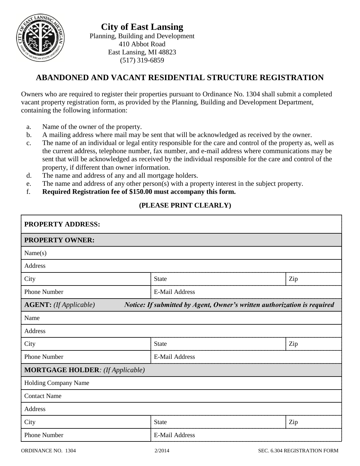

## **ABANDONED AND VACANT RESIDENTIAL STRUCTURE REGISTRATION**

Owners who are required to register their properties pursuant to Ordinance No. 1304 shall submit a completed vacant property registration form, as provided by the Planning, Building and Development Department, containing the following information:

- a. Name of the owner of the property.
- b. A mailing address where mail may be sent that will be acknowledged as received by the owner.
- c. The name of an individual or legal entity responsible for the care and control of the property as, well as the current address, telephone number, fax number, and e-mail address where communications may be sent that will be acknowledged as received by the individual responsible for the care and control of the property, if different than owner information.
- d. The name and address of any and all mortgage holders.
- e. The name and address of any other person(s) with a property interest in the subject property.
- f. **Required Registration fee of \$150.00 must accompany this form.**

## **(PLEASE PRINT CLEARLY)**

| <b>PROPERTY ADDRESS:</b><br><b>PROPERTY OWNER:</b>                                                        |                       |     |  |  |
|-----------------------------------------------------------------------------------------------------------|-----------------------|-----|--|--|
|                                                                                                           |                       |     |  |  |
| Address                                                                                                   |                       |     |  |  |
| City                                                                                                      | <b>State</b>          | Zip |  |  |
| <b>Phone Number</b>                                                                                       | <b>E-Mail Address</b> |     |  |  |
| Notice: If submitted by Agent, Owner's written authorization is required<br><b>AGENT:</b> (If Applicable) |                       |     |  |  |
| Name                                                                                                      |                       |     |  |  |
| Address                                                                                                   |                       |     |  |  |
| City                                                                                                      | <b>State</b>          | Zip |  |  |
| <b>Phone Number</b>                                                                                       | <b>E-Mail Address</b> |     |  |  |
| <b>MORTGAGE HOLDER:</b> (If Applicable)                                                                   |                       |     |  |  |
| Holding Company Name                                                                                      |                       |     |  |  |
| <b>Contact Name</b>                                                                                       |                       |     |  |  |
| Address                                                                                                   |                       |     |  |  |
| City                                                                                                      | State                 | Zip |  |  |
| <b>Phone Number</b>                                                                                       | <b>E-Mail Address</b> |     |  |  |